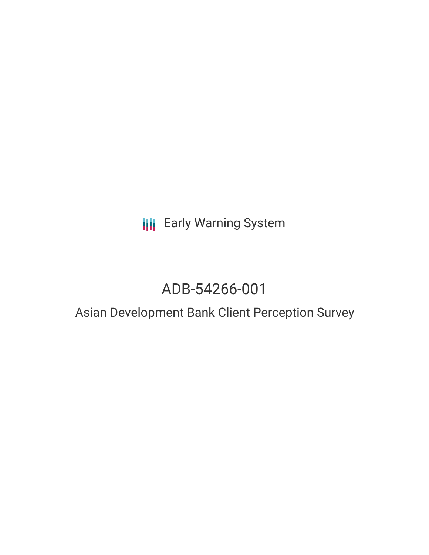**III** Early Warning System

## ADB-54266-001

### Asian Development Bank Client Perception Survey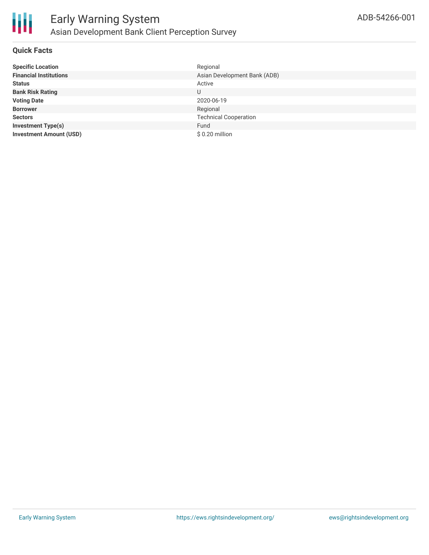

#### **Quick Facts**

| <b>Specific Location</b>       | Regional                     |
|--------------------------------|------------------------------|
| <b>Financial Institutions</b>  | Asian Development Bank (ADB) |
| <b>Status</b>                  | Active                       |
| <b>Bank Risk Rating</b>        | U                            |
| <b>Voting Date</b>             | 2020-06-19                   |
| <b>Borrower</b>                | Regional                     |
| <b>Sectors</b>                 | <b>Technical Cooperation</b> |
| <b>Investment Type(s)</b>      | Fund                         |
| <b>Investment Amount (USD)</b> | \$0.20 million               |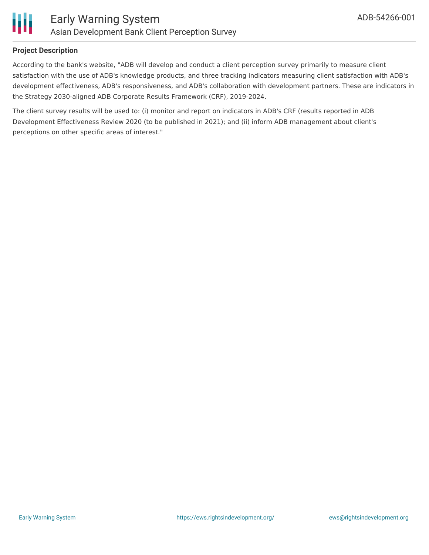

#### **Project Description**

According to the bank's website, "ADB will develop and conduct a client perception survey primarily to measure client satisfaction with the use of ADB's knowledge products, and three tracking indicators measuring client satisfaction with ADB's development effectiveness, ADB's responsiveness, and ADB's collaboration with development partners. These are indicators in the Strategy 2030-aligned ADB Corporate Results Framework (CRF), 2019-2024.

The client survey results will be used to: (i) monitor and report on indicators in ADB's CRF (results reported in ADB Development Effectiveness Review 2020 (to be published in 2021); and (ii) inform ADB management about client's perceptions on other specific areas of interest."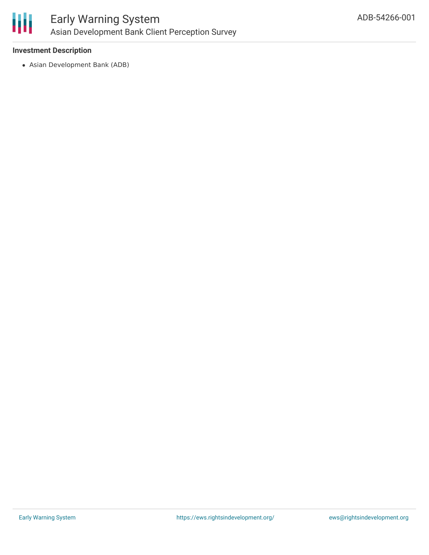

### Early Warning System Asian Development Bank Client Perception Survey

#### **Investment Description**

Asian Development Bank (ADB)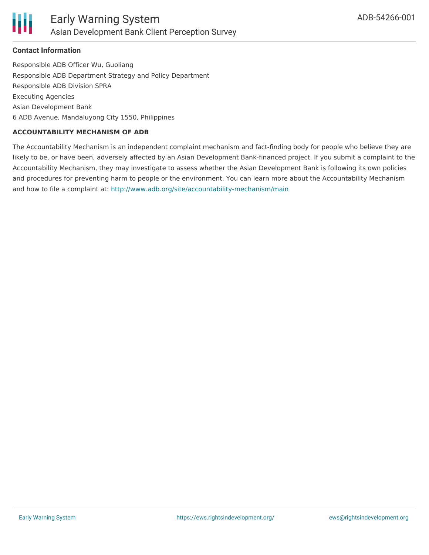

#### **Contact Information**

Responsible ADB Officer Wu, Guoliang Responsible ADB Department Strategy and Policy Department Responsible ADB Division SPRA Executing Agencies Asian Development Bank 6 ADB Avenue, Mandaluyong City 1550, Philippines

#### **ACCOUNTABILITY MECHANISM OF ADB**

The Accountability Mechanism is an independent complaint mechanism and fact-finding body for people who believe they are likely to be, or have been, adversely affected by an Asian Development Bank-financed project. If you submit a complaint to the Accountability Mechanism, they may investigate to assess whether the Asian Development Bank is following its own policies and procedures for preventing harm to people or the environment. You can learn more about the Accountability Mechanism and how to file a complaint at: <http://www.adb.org/site/accountability-mechanism/main>